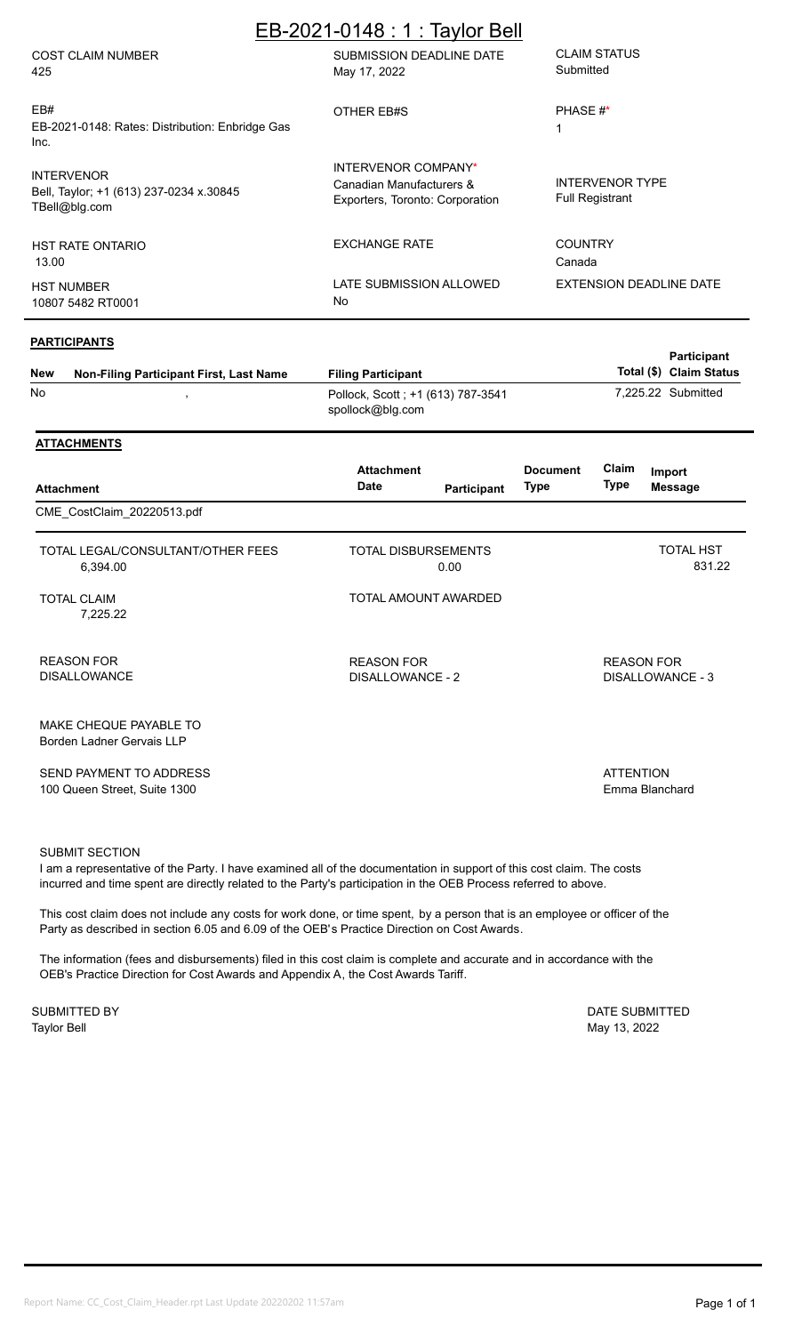|                                                                              | EB-2021-0148 : 1 : Taylor Bell                                                     |                                                  |
|------------------------------------------------------------------------------|------------------------------------------------------------------------------------|--------------------------------------------------|
| <b>COST CLAIM NUMBER</b><br>425                                              | SUBMISSION DEADLINE DATE<br>May 17, 2022                                           | <b>CLAIM STATUS</b><br>Submitted                 |
| EB#<br>EB-2021-0148: Rates: Distribution: Enbridge Gas<br>Inc.               | OTHER EB#S                                                                         | PHASE #*                                         |
| <b>INTERVENOR</b><br>Bell, Taylor; +1 (613) 237-0234 x.30845<br>TBel@blq.com | INTERVENOR COMPANY*<br>Canadian Manufacturers &<br>Exporters, Toronto: Corporation | <b>INTERVENOR TYPE</b><br><b>Full Registrant</b> |
| <b>HST RATE ONTARIO</b><br>13.00                                             | <b>EXCHANGE RATE</b>                                                               | <b>COUNTRY</b><br>Canada                         |
| <b>HST NUMBER</b><br>10807 5482 RT0001                                       | LATE SUBMISSION ALLOWED<br>No.                                                     | EXTENSION DEADLINE DATE                          |

### **PARTICIPANTS**

| <b>New</b> | <b>Non-Filing Participant First, Last Name</b> | <b>Filing Participant</b>                             | <b>Participant</b><br>Total (\$) Claim Status |
|------------|------------------------------------------------|-------------------------------------------------------|-----------------------------------------------|
| No         |                                                | Pollock, Scott; +1 (613) 787-3541<br>spollock@blg.com | 7.225.22 Submitted                            |

### **ATTACHMENTS**

| <b>Attachment</b>                                       | <b>Attachment</b><br>Date             | Participant | <b>Document</b><br>Type | Claim<br>Type     | Import<br><b>Message</b>   |
|---------------------------------------------------------|---------------------------------------|-------------|-------------------------|-------------------|----------------------------|
| CME_CostClaim_20220513.pdf                              |                                       |             |                         |                   |                            |
| TOTAL LEGAL/CONSULTANT/OTHER FEES<br>6,394.00           | <b>TOTAL DISBURSEMENTS</b>            | 0.00        |                         |                   | <b>TOTAL HST</b><br>831.22 |
| <b>TOTAL CLAIM</b><br>7,225.22                          | TOTAL AMOUNT AWARDED                  |             |                         |                   |                            |
| <b>REASON FOR</b><br><b>DISALLOWANCE</b>                | <b>REASON FOR</b><br>DISALLOWANCE - 2 |             |                         | <b>REASON FOR</b> | DISALLOWANCE - 3           |
| MAKE CHEQUE PAYABLE TO<br>Borden Ladner Gervais LLP     |                                       |             |                         |                   |                            |
| SEND PAYMENT TO ADDRESS<br>100 Queen Street, Suite 1300 |                                       |             |                         | <b>ATTENTION</b>  | Emma Blanchard             |

## SUBMIT SECTION

I am a representative of the Party. I have examined all of the documentation in support of this cost claim. The costs incurred and time spent are directly related to the Party's participation in the OEB Process referred to above.

This cost claim does not include any costs for work done, or time spent, by a person that is an employee or officer of the Party as described in section 6.05 and 6.09 of the OEB's Practice Direction on Cost Awards.

The information (fees and disbursements) filed in this cost claim is complete and accurate and in accordance with the OEB's Practice Direction for Cost Awards and Appendix A, the Cost Awards Tariff.

Taylor Bell May 13, 2022 SUBMITTED BY DATE SUBMITTED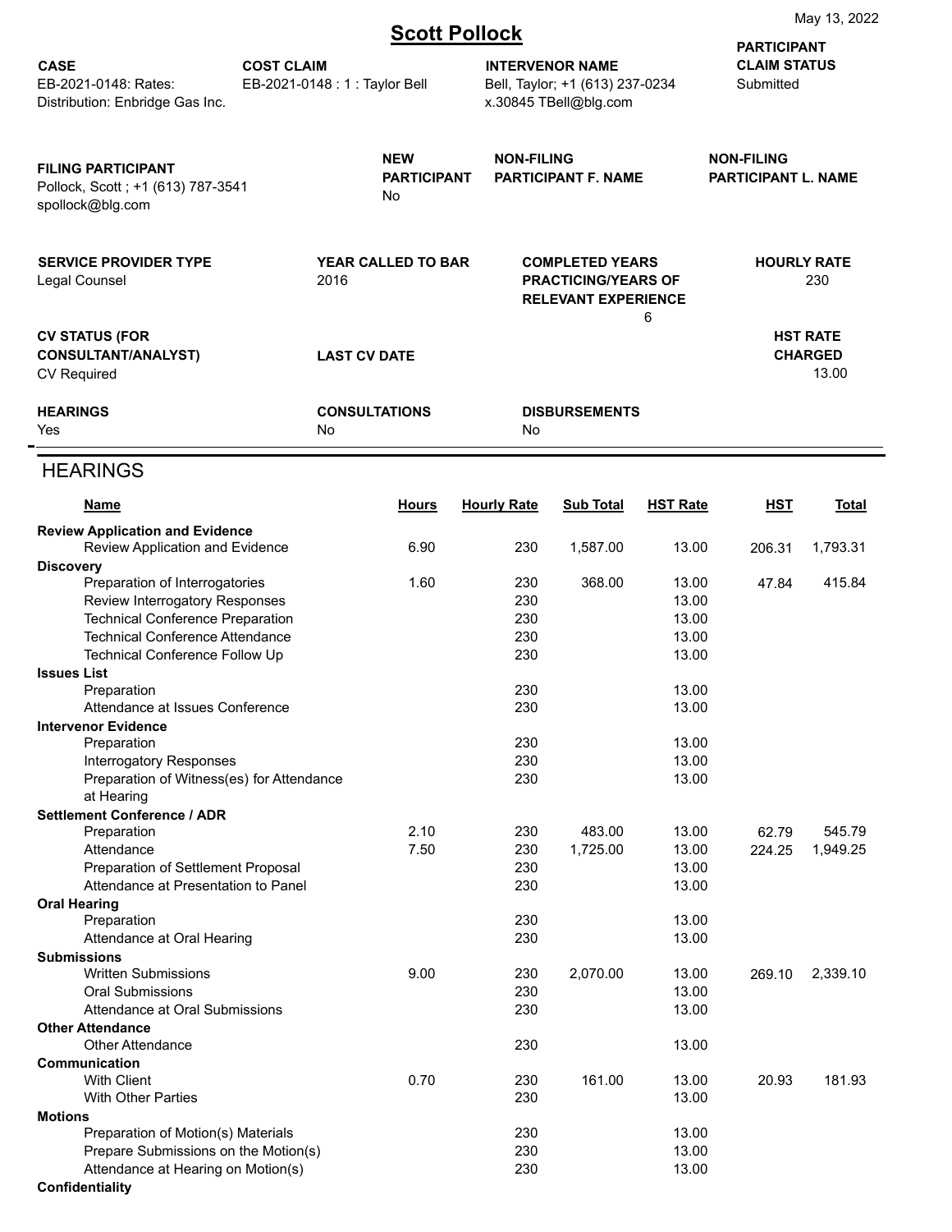|  | <b>Scott Pollock</b> |  |  |  |
|--|----------------------|--|--|--|
|  |                      |  |  |  |

|                                                                                    |                                                                                           |                                                                                                                         | <u>ocon i onoch</u> |                                                                                    |                 | <b>PARTICIPANT</b>               |                                            |
|------------------------------------------------------------------------------------|-------------------------------------------------------------------------------------------|-------------------------------------------------------------------------------------------------------------------------|---------------------|------------------------------------------------------------------------------------|-----------------|----------------------------------|--------------------------------------------|
| <b>CASE</b><br>EB-2021-0148: Rates:<br>Distribution: Enbridge Gas Inc.             | <b>COST CLAIM</b><br>EB-2021-0148 : 1 : Taylor Bell                                       |                                                                                                                         |                     | <b>INTERVENOR NAME</b><br>Bell, Taylor; +1 (613) 237-0234<br>x.30845 TBell@blg.com |                 | <b>CLAIM STATUS</b><br>Submitted |                                            |
| <b>FILING PARTICIPANT</b><br>Pollock, Scott; +1 (613) 787-3541<br>spollock@blg.com | <b>NEW</b><br><b>NON-FILING</b><br><b>PARTICIPANT</b><br><b>PARTICIPANT F. NAME</b><br>No |                                                                                                                         |                     | <b>NON-FILING</b><br><b>PARTICIPANT L. NAME</b>                                    |                 |                                  |                                            |
| <b>SERVICE PROVIDER TYPE</b><br>Legal Counsel                                      |                                                                                           | <b>YEAR CALLED TO BAR</b><br><b>COMPLETED YEARS</b><br>2016<br><b>PRACTICING/YEARS OF</b><br><b>RELEVANT EXPERIENCE</b> |                     |                                                                                    | 6               | <b>HOURLY RATE</b><br>230        |                                            |
| <b>CV STATUS (FOR</b><br><b>CONSULTANT/ANALYST)</b><br><b>CV Required</b>          |                                                                                           | <b>LAST CV DATE</b>                                                                                                     |                     |                                                                                    |                 |                                  | <b>HST RATE</b><br><b>CHARGED</b><br>13.00 |
| <b>HEARINGS</b><br>Yes                                                             | No                                                                                        | <b>CONSULTATIONS</b>                                                                                                    | No                  | <b>DISBURSEMENTS</b>                                                               |                 |                                  |                                            |
| <b>HEARINGS</b>                                                                    |                                                                                           |                                                                                                                         |                     |                                                                                    |                 |                                  |                                            |
| <u>Name</u>                                                                        |                                                                                           | <b>Hours</b>                                                                                                            | <b>Hourly Rate</b>  | <b>Sub Total</b>                                                                   | <b>HST Rate</b> | <u>HST</u>                       | <b>Total</b>                               |
| <b>Review Application and Evidence</b>                                             |                                                                                           |                                                                                                                         |                     |                                                                                    |                 |                                  |                                            |
| Review Application and Evidence                                                    |                                                                                           | 6.90                                                                                                                    | 230                 | 1,587.00                                                                           | 13.00           | 206.31                           | 1,793.31                                   |
| <b>Discovery</b><br>Preparation of Interrogatories                                 |                                                                                           | 1.60                                                                                                                    | 230                 | 368.00                                                                             | 13.00           | 47.84                            | 415.84                                     |
| Review Interrogatory Responses                                                     |                                                                                           |                                                                                                                         | 230                 |                                                                                    | 13.00           |                                  |                                            |
| <b>Technical Conference Preparation</b>                                            |                                                                                           |                                                                                                                         | 230                 |                                                                                    | 13.00           |                                  |                                            |
| <b>Technical Conference Attendance</b>                                             |                                                                                           |                                                                                                                         | 230                 |                                                                                    | 13.00           |                                  |                                            |
| <b>Technical Conference Follow Up</b>                                              |                                                                                           |                                                                                                                         | 230                 |                                                                                    | 13.00           |                                  |                                            |
| <b>Issues List</b><br>Preparation                                                  |                                                                                           |                                                                                                                         | 230                 |                                                                                    | 13.00           |                                  |                                            |
| Attendance at Issues Conference                                                    |                                                                                           |                                                                                                                         | 230                 |                                                                                    | 13.00           |                                  |                                            |
| <b>Intervenor Evidence</b>                                                         |                                                                                           |                                                                                                                         |                     |                                                                                    |                 |                                  |                                            |
| Preparation                                                                        |                                                                                           |                                                                                                                         | 230                 |                                                                                    | 13.00           |                                  |                                            |
| Interrogatory Responses<br>Preparation of Witness(es) for Attendance               |                                                                                           |                                                                                                                         | 230<br>230          |                                                                                    | 13.00<br>13.00  |                                  |                                            |
| at Hearing                                                                         |                                                                                           |                                                                                                                         |                     |                                                                                    |                 |                                  |                                            |
| <b>Settlement Conference / ADR</b>                                                 |                                                                                           |                                                                                                                         |                     |                                                                                    |                 |                                  |                                            |
| Preparation                                                                        |                                                                                           | 2.10                                                                                                                    | 230                 | 483.00                                                                             | 13.00           | 62.79                            | 545.79                                     |
| Attendance                                                                         |                                                                                           | 7.50                                                                                                                    | 230                 | 1,725.00                                                                           | 13.00           | 224.25                           | 1,949.25                                   |
| Preparation of Settlement Proposal<br>Attendance at Presentation to Panel          |                                                                                           |                                                                                                                         | 230<br>230          |                                                                                    | 13.00<br>13.00  |                                  |                                            |
| <b>Oral Hearing</b>                                                                |                                                                                           |                                                                                                                         |                     |                                                                                    |                 |                                  |                                            |
| Preparation                                                                        |                                                                                           |                                                                                                                         | 230                 |                                                                                    | 13.00           |                                  |                                            |
| Attendance at Oral Hearing                                                         |                                                                                           |                                                                                                                         | 230                 |                                                                                    | 13.00           |                                  |                                            |
| <b>Submissions</b><br><b>Written Submissions</b>                                   |                                                                                           | 9.00                                                                                                                    | 230                 | 2,070.00                                                                           | 13.00           | 269.10                           | 2,339.10                                   |
| <b>Oral Submissions</b>                                                            |                                                                                           |                                                                                                                         | 230                 |                                                                                    | 13.00           |                                  |                                            |
| Attendance at Oral Submissions                                                     |                                                                                           |                                                                                                                         | 230                 |                                                                                    | 13.00           |                                  |                                            |
| <b>Other Attendance</b>                                                            |                                                                                           |                                                                                                                         |                     |                                                                                    |                 |                                  |                                            |
| <b>Other Attendance</b><br>Communication                                           |                                                                                           |                                                                                                                         | 230                 |                                                                                    | 13.00           |                                  |                                            |
| <b>With Client</b>                                                                 |                                                                                           | 0.70                                                                                                                    | 230                 | 161.00                                                                             | 13.00           | 20.93                            | 181.93                                     |
| <b>With Other Parties</b>                                                          |                                                                                           |                                                                                                                         | 230                 |                                                                                    | 13.00           |                                  |                                            |
| <b>Motions</b>                                                                     |                                                                                           |                                                                                                                         |                     |                                                                                    |                 |                                  |                                            |
| Preparation of Motion(s) Materials<br>Prepare Submissions on the Motion(s)         |                                                                                           |                                                                                                                         | 230<br>230          |                                                                                    | 13.00<br>13.00  |                                  |                                            |
| Attendance at Hearing on Motion(s)                                                 |                                                                                           |                                                                                                                         | 230                 |                                                                                    | 13.00           |                                  |                                            |
| <b>Confidentiality</b>                                                             |                                                                                           |                                                                                                                         |                     |                                                                                    |                 |                                  |                                            |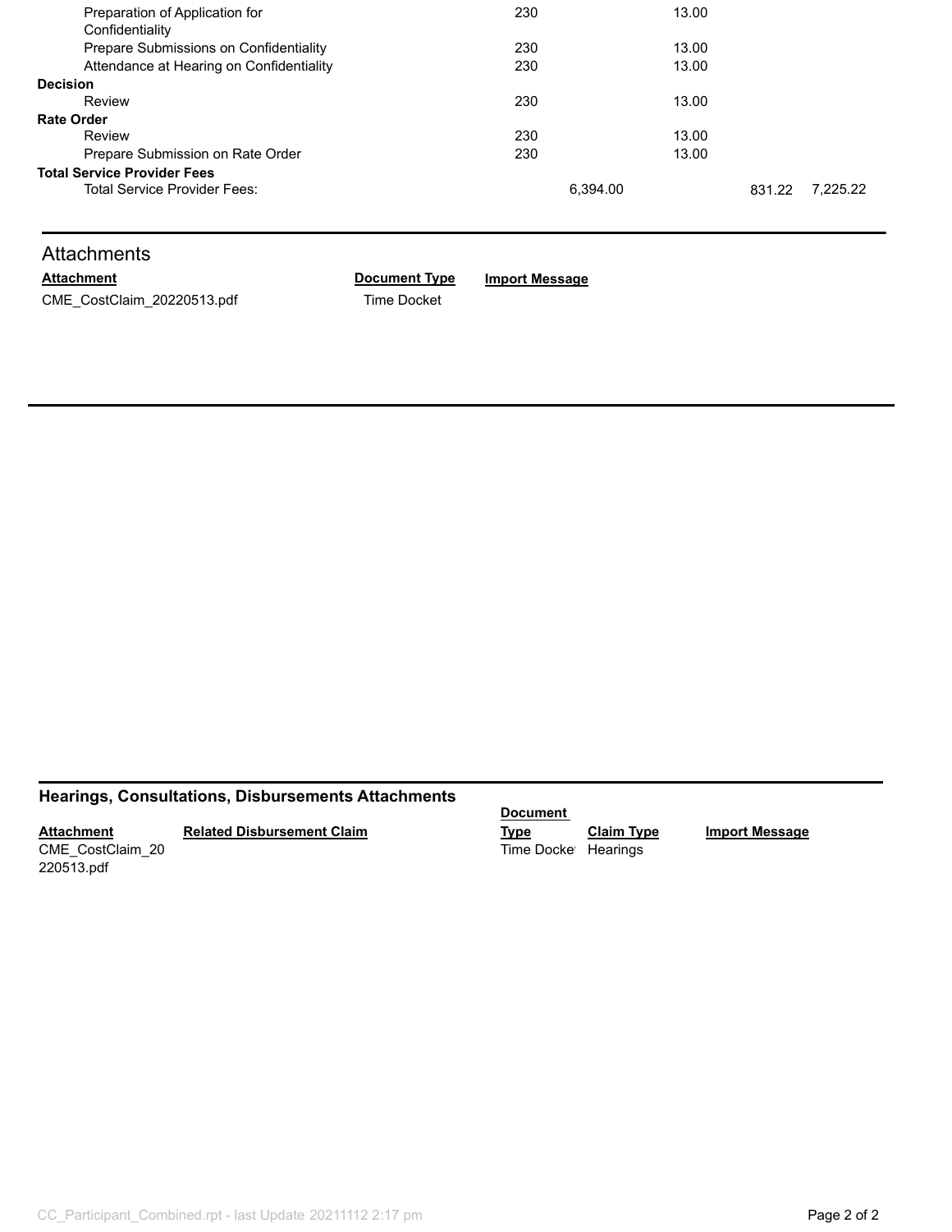| Preparation of Application for           | 230      | 13.00 |        |          |
|------------------------------------------|----------|-------|--------|----------|
| Confidentiality                          |          |       |        |          |
| Prepare Submissions on Confidentiality   | 230      | 13.00 |        |          |
| Attendance at Hearing on Confidentiality | 230      | 13.00 |        |          |
| <b>Decision</b>                          |          |       |        |          |
| Review                                   | 230      | 13.00 |        |          |
| <b>Rate Order</b>                        |          |       |        |          |
| Review                                   | 230      | 13.00 |        |          |
| Prepare Submission on Rate Order         | 230      | 13.00 |        |          |
| <b>Total Service Provider Fees</b>       |          |       |        |          |
| Total Service Provider Fees:             | 6.394.00 |       | 831.22 | 7.225.22 |
|                                          |          |       |        |          |

# **Attachments**

CME\_CostClaim\_20220513.pdf Time Docket

# **Attachment Document Type Import Message**

## **Hearings, Consultations, Disbursements Attachments**

**Attachment** CME\_CostClaim\_20

**Related Disbursement Claim**

220513.pdf

**Document** 

**Type Claim Type Import Message** Time Docket Hearings